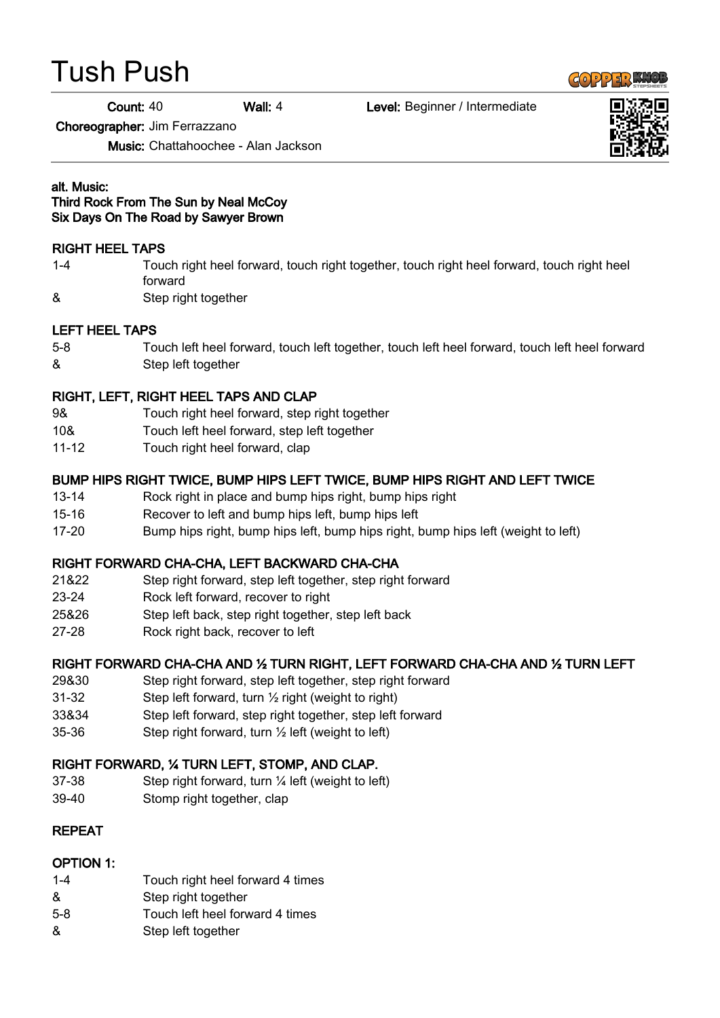# Tush Push

Count: 40 Wall: 4 Level: Beginner / Intermediate

Choreographer: Jim Ferrazzano

Music: Chattahoochee - Alan Jackson

#### alt. Music: Third Rock From The Sun by Neal McCoy Six Days On The Road by Sawyer Brown

#### RIGHT HEEL TAPS

- 1-4 Touch right heel forward, touch right together, touch right heel forward, touch right heel forward
- & Step right together

#### LEFT HEEL TAPS

5-8 Touch left heel forward, touch left together, touch left heel forward, touch left heel forward & Step left together

## RIGHT, LEFT, RIGHT HEEL TAPS AND CLAP

- 9& Touch right heel forward, step right together
- 10& Touch left heel forward, step left together
- 11-12 Touch right heel forward, clap

#### BUMP HIPS RIGHT TWICE, BUMP HIPS LEFT TWICE, BUMP HIPS RIGHT AND LEFT TWICE

- 13-14 Rock right in place and bump hips right, bump hips right
- 15-16 Recover to left and bump hips left, bump hips left
- 17-20 Bump hips right, bump hips left, bump hips right, bump hips left (weight to left)

## RIGHT FORWARD CHA-CHA, LEFT BACKWARD CHA-CHA

- 21&22 Step right forward, step left together, step right forward
- 23-24 Rock left forward, recover to right
- 25&26 Step left back, step right together, step left back
- 27-28 Rock right back, recover to left

## RIGHT FORWARD CHA-CHA AND ½ TURN RIGHT, LEFT FORWARD CHA-CHA AND ½ TURN LEFT

- 29&30 Step right forward, step left together, step right forward
- 31-32 Step left forward, turn ½ right (weight to right)
- 33&34 Step left forward, step right together, step left forward
- 35-36 Step right forward, turn ½ left (weight to left)

#### RIGHT FORWARD, ¼ TURN LEFT, STOMP, AND CLAP.

- 37-38 Step right forward, turn ¼ left (weight to left)
- 39-40 Stomp right together, clap

## REPEAT

#### OPTION 1:

- 1-4 Touch right heel forward 4 times
- & Step right together
- 5-8 Touch left heel forward 4 times
- & Step left together